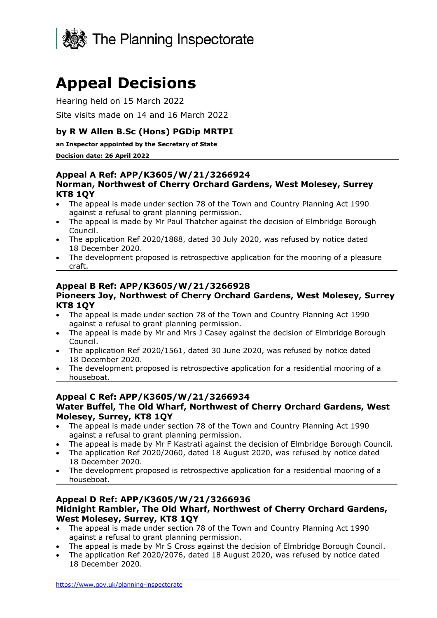

# **Appeal Decisions**

Hearing held on 15 March 2022

Site visits made on 14 and 16 March 2022

# **by R W Allen B.Sc (Hons) PGDip MRTPI**

**an Inspector appointed by the Secretary of State** 

#### **Decision date: 26 April 2022**

#### **Appeal A Ref: APP/K3605/W/21/3266924 Norman, Northwest of Cherry Orchard Gardens, West Molesey, Surrey KT8 1QY**

- The appeal is made under section 78 of the Town and Country Planning Act 1990 against a refusal to grant planning permission.
- The appeal is made by Mr Paul Thatcher against the decision of Elmbridge Borough Council.
- The application Ref 2020/1888, dated 30 July 2020, was refused by notice dated 18 December 2020.
- The development proposed is retrospective application for the mooring of a pleasure craft.

#### **Appeal B Ref: APP/K3605/W/21/3266928 Pioneers Joy, Northwest of Cherry Orchard Gardens, West Molesey, Surrey KT8 1QY**

- The appeal is made under section 78 of the Town and Country Planning Act 1990 against a refusal to grant planning permission.
- The appeal is made by Mr and Mrs J Casey against the decision of Elmbridge Borough Council.
- The application Ref 2020/1561, dated 30 June 2020, was refused by notice dated 18 December 2020.
- The development proposed is retrospective application for a residential mooring of a houseboat.

#### **Appeal C Ref: APP/K3605/W/21/3266934 Water Buffel, The Old Wharf, Northwest of Cherry Orchard Gardens, West Molesey, Surrey, KT8 1QY**

- The appeal is made under section 78 of the Town and Country Planning Act 1990 against a refusal to grant planning permission.
- The appeal is made by Mr F Kastrati against the decision of Elmbridge Borough Council.
- The application Ref 2020/2060, dated 18 August 2020, was refused by notice dated 18 December 2020.
- The development proposed is retrospective application for a residential mooring of a houseboat.

## **Appeal D Ref: APP/K3605/W/21/3266936 Midnight Rambler, The Old Wharf, Northwest of Cherry Orchard Gardens, West Molesey, Surrey, KT8 1QY**

- The appeal is made under section 78 of the Town and Country Planning Act 1990 against a refusal to grant planning permission.
- The appeal is made by Mr S Cross against the decision of Elmbridge Borough Council.
- The application Ref 2020/2076, dated 18 August 2020, was refused by notice dated 18 December 2020.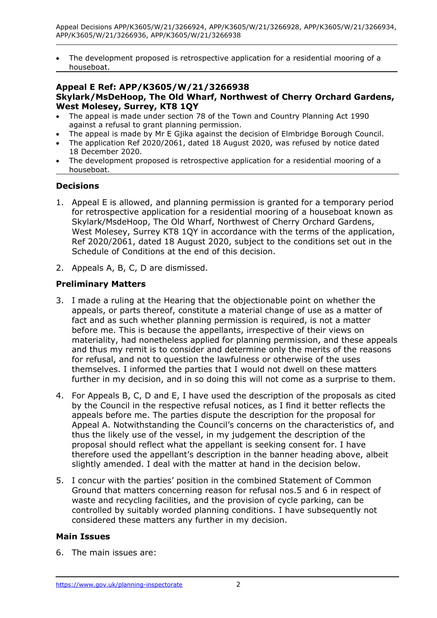• The development proposed is retrospective application for a residential mooring of a houseboat.

# **Appeal E Ref: APP/K3605/W/21/3266938 Skylark/MsDeHoop, The Old Wharf, Northwest of Cherry Orchard Gardens, West Molesey, Surrey, KT8 1QY**

- The appeal is made under section 78 of the Town and Country Planning Act 1990 against a refusal to grant planning permission.
- The appeal is made by Mr E Gjika against the decision of Elmbridge Borough Council.
- The application Ref 2020/2061, dated 18 August 2020, was refused by notice dated 18 December 2020.
- The development proposed is retrospective application for a residential mooring of a houseboat.

# **Decisions**

- 1. Appeal E is allowed, and planning permission is granted for a temporary period for retrospective application for a residential mooring of a houseboat known as Skylark/MsdeHoop, The Old Wharf, Northwest of Cherry Orchard Gardens, West Molesey, Surrey KT8 1QY in accordance with the terms of the application, Ref 2020/2061, dated 18 August 2020, subject to the conditions set out in the Schedule of Conditions at the end of this decision.
- 2. Appeals A, B, C, D are dismissed.

## **Preliminary Matters**

- 3. I made a ruling at the Hearing that the objectionable point on whether the appeals, or parts thereof, constitute a material change of use as a matter of fact and as such whether planning permission is required, is not a matter before me. This is because the appellants, irrespective of their views on materiality, had nonetheless applied for planning permission, and these appeals and thus my remit is to consider and determine only the merits of the reasons for refusal, and not to question the lawfulness or otherwise of the uses themselves. I informed the parties that I would not dwell on these matters further in my decision, and in so doing this will not come as a surprise to them.
- 4. For Appeals B, C, D and E, I have used the description of the proposals as cited by the Council in the respective refusal notices, as I find it better reflects the appeals before me. The parties dispute the description for the proposal for Appeal A. Notwithstanding the Council's concerns on the characteristics of, and thus the likely use of the vessel, in my judgement the description of the proposal should reflect what the appellant is seeking consent for. I have therefore used the appellant's description in the banner heading above, albeit slightly amended. I deal with the matter at hand in the decision below.
- 5. I concur with the parties' position in the combined Statement of Common Ground that matters concerning reason for refusal nos.5 and 6 in respect of waste and recycling facilities, and the provision of cycle parking, can be controlled by suitably worded planning conditions. I have subsequently not considered these matters any further in my decision.

## **Main Issues**

6. The main issues are: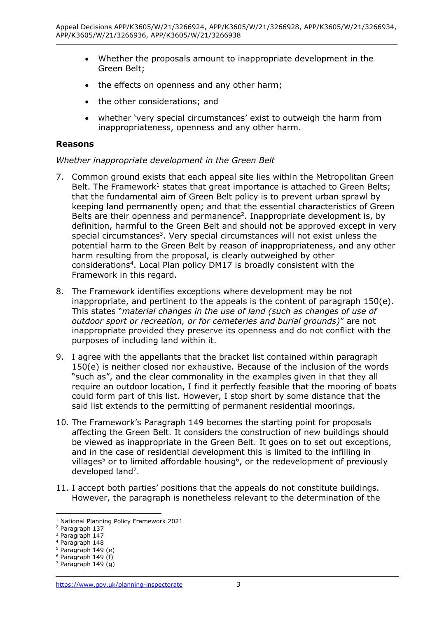- Whether the proposals amount to inappropriate development in the Green Belt;
- the effects on openness and any other harm;
- the other considerations; and
- whether 'very special circumstances' exist to outweigh the harm from inappropriateness, openness and any other harm.

#### **Reasons**

#### *Whether inappropriate development in the Green Belt*

- 7. Common ground exists that each appeal site lies within the Metropolitan Green Belt. The Framework<sup>1</sup> states that great importance is attached to Green Belts; that the fundamental aim of Green Belt policy is to prevent urban sprawl by keeping land permanently open; and that the essential characteristics of Green Belts are their openness and permanence<sup>2</sup>. Inappropriate development is, by definition, harmful to the Green Belt and should not be approved except in very special circumstances<sup>3</sup>. Very special circumstances will not exist unless the potential harm to the Green Belt by reason of inappropriateness, and any other harm resulting from the proposal, is clearly outweighed by other considerations<sup>4</sup> . Local Plan policy DM17 is broadly consistent with the Framework in this regard.
- 8. The Framework identifies exceptions where development may be not inappropriate, and pertinent to the appeals is the content of paragraph 150(e). This states "*material changes in the use of land (such as changes of use of outdoor sport or recreation, or for cemeteries and burial grounds)*" are not inappropriate provided they preserve its openness and do not conflict with the purposes of including land within it.
- 9. I agree with the appellants that the bracket list contained within paragraph 150(e) is neither closed nor exhaustive. Because of the inclusion of the words "such as", and the clear commonality in the examples given in that they all require an outdoor location, I find it perfectly feasible that the mooring of boats could form part of this list. However, I stop short by some distance that the said list extends to the permitting of permanent residential moorings.
- 10. The Framework's Paragraph 149 becomes the starting point for proposals affecting the Green Belt. It considers the construction of new buildings should be viewed as inappropriate in the Green Belt. It goes on to set out exceptions, and in the case of residential development this is limited to the infilling in villages<sup>5</sup> or to limited affordable housing<sup>6</sup>, or the redevelopment of previously developed land<sup>7</sup>.
- 11. I accept both parties' positions that the appeals do not constitute buildings. However, the paragraph is nonetheless relevant to the determination of the

<sup>1</sup> National Planning Policy Framework 2021

<sup>2</sup> Paragraph 137

<sup>&</sup>lt;sup>3</sup> Paragraph 147

<sup>4</sup> Paragraph 148

 $5$  Paragraph 149 (e)

 $6$  Paragraph 149 (f)

 $7$  Paragraph 149 (g)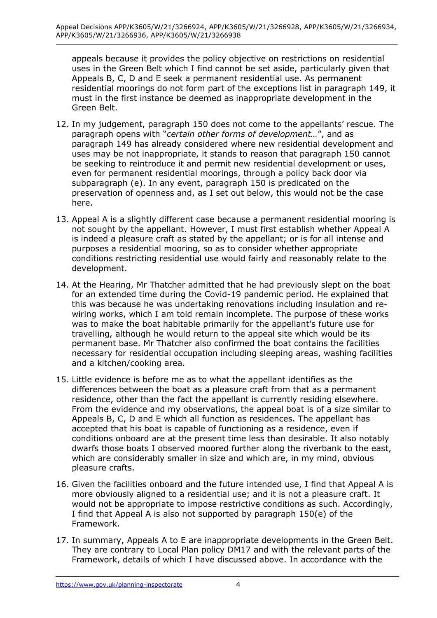appeals because it provides the policy objective on restrictions on residential uses in the Green Belt which I find cannot be set aside, particularly given that Appeals B, C, D and E seek a permanent residential use. As permanent residential moorings do not form part of the exceptions list in paragraph 149, it must in the first instance be deemed as inappropriate development in the Green Belt.

- 12. In my judgement, paragraph 150 does not come to the appellants' rescue. The paragraph opens with "*certain other forms of development…*", and as paragraph 149 has already considered where new residential development and uses may be not inappropriate, it stands to reason that paragraph 150 cannot be seeking to reintroduce it and permit new residential development or uses, even for permanent residential moorings, through a policy back door via subparagraph (e). In any event, paragraph 150 is predicated on the preservation of openness and, as I set out below, this would not be the case here.
- 13. Appeal A is a slightly different case because a permanent residential mooring is not sought by the appellant. However, I must first establish whether Appeal A is indeed a pleasure craft as stated by the appellant; or is for all intense and purposes a residential mooring, so as to consider whether appropriate conditions restricting residential use would fairly and reasonably relate to the development.
- 14. At the Hearing, Mr Thatcher admitted that he had previously slept on the boat for an extended time during the Covid-19 pandemic period. He explained that this was because he was undertaking renovations including insulation and rewiring works, which I am told remain incomplete. The purpose of these works was to make the boat habitable primarily for the appellant's future use for travelling, although he would return to the appeal site which would be its permanent base. Mr Thatcher also confirmed the boat contains the facilities necessary for residential occupation including sleeping areas, washing facilities and a kitchen/cooking area.
- 15. Little evidence is before me as to what the appellant identifies as the differences between the boat as a pleasure craft from that as a permanent residence, other than the fact the appellant is currently residing elsewhere. From the evidence and my observations, the appeal boat is of a size similar to Appeals B, C, D and E which all function as residences. The appellant has accepted that his boat is capable of functioning as a residence, even if conditions onboard are at the present time less than desirable. It also notably dwarfs those boats I observed moored further along the riverbank to the east, which are considerably smaller in size and which are, in my mind, obvious pleasure crafts.
- 16. Given the facilities onboard and the future intended use, I find that Appeal A is more obviously aligned to a residential use; and it is not a pleasure craft. It would not be appropriate to impose restrictive conditions as such. Accordingly, I find that Appeal A is also not supported by paragraph 150(e) of the Framework.
- 17. In summary, Appeals A to E are inappropriate developments in the Green Belt. They are contrary to Local Plan policy DM17 and with the relevant parts of the Framework, details of which I have discussed above. In accordance with the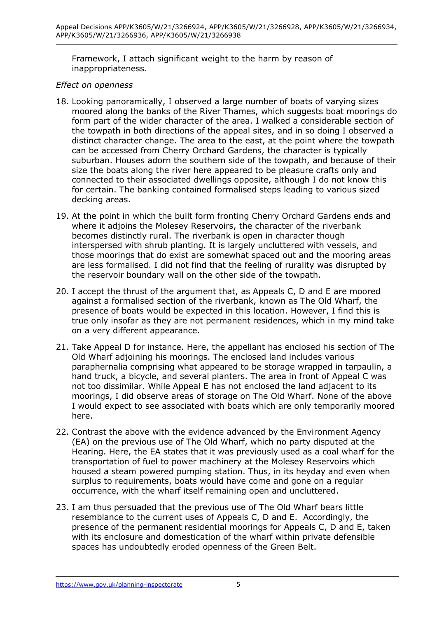Framework, I attach significant weight to the harm by reason of inappropriateness.

## *Effect on openness*

- 18. Looking panoramically, I observed a large number of boats of varying sizes moored along the banks of the River Thames, which suggests boat moorings do form part of the wider character of the area. I walked a considerable section of the towpath in both directions of the appeal sites, and in so doing I observed a distinct character change. The area to the east, at the point where the towpath can be accessed from Cherry Orchard Gardens, the character is typically suburban. Houses adorn the southern side of the towpath, and because of their size the boats along the river here appeared to be pleasure crafts only and connected to their associated dwellings opposite, although I do not know this for certain. The banking contained formalised steps leading to various sized decking areas.
- 19. At the point in which the built form fronting Cherry Orchard Gardens ends and where it adjoins the Molesey Reservoirs, the character of the riverbank becomes distinctly rural. The riverbank is open in character though interspersed with shrub planting. It is largely uncluttered with vessels, and those moorings that do exist are somewhat spaced out and the mooring areas are less formalised. I did not find that the feeling of rurality was disrupted by the reservoir boundary wall on the other side of the towpath.
- 20. I accept the thrust of the argument that, as Appeals C, D and E are moored against a formalised section of the riverbank, known as The Old Wharf, the presence of boats would be expected in this location. However, I find this is true only insofar as they are not permanent residences, which in my mind take on a very different appearance.
- 21. Take Appeal D for instance. Here, the appellant has enclosed his section of The Old Wharf adjoining his moorings. The enclosed land includes various paraphernalia comprising what appeared to be storage wrapped in tarpaulin, a hand truck, a bicycle, and several planters. The area in front of Appeal C was not too dissimilar. While Appeal E has not enclosed the land adjacent to its moorings, I did observe areas of storage on The Old Wharf. None of the above I would expect to see associated with boats which are only temporarily moored here.
- 22. Contrast the above with the evidence advanced by the Environment Agency (EA) on the previous use of The Old Wharf, which no party disputed at the Hearing. Here, the EA states that it was previously used as a coal wharf for the transportation of fuel to power machinery at the Molesey Reservoirs which housed a steam powered pumping station. Thus, in its heyday and even when surplus to requirements, boats would have come and gone on a regular occurrence, with the wharf itself remaining open and uncluttered.
- 23. I am thus persuaded that the previous use of The Old Wharf bears little resemblance to the current uses of Appeals C, D and E. Accordingly, the presence of the permanent residential moorings for Appeals C, D and E, taken with its enclosure and domestication of the wharf within private defensible spaces has undoubtedly eroded openness of the Green Belt.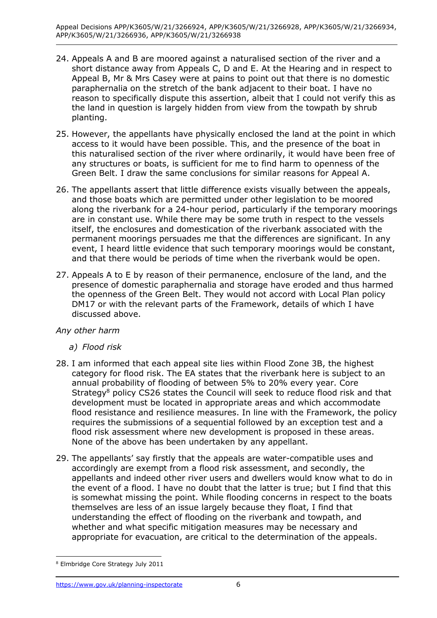- 24. Appeals A and B are moored against a naturalised section of the river and a short distance away from Appeals C, D and E. At the Hearing and in respect to Appeal B, Mr & Mrs Casey were at pains to point out that there is no domestic paraphernalia on the stretch of the bank adjacent to their boat. I have no reason to specifically dispute this assertion, albeit that I could not verify this as the land in question is largely hidden from view from the towpath by shrub planting.
- 25. However, the appellants have physically enclosed the land at the point in which access to it would have been possible. This, and the presence of the boat in this naturalised section of the river where ordinarily, it would have been free of any structures or boats, is sufficient for me to find harm to openness of the Green Belt. I draw the same conclusions for similar reasons for Appeal A.
- 26. The appellants assert that little difference exists visually between the appeals, and those boats which are permitted under other legislation to be moored along the riverbank for a 24-hour period, particularly if the temporary moorings are in constant use. While there may be some truth in respect to the vessels itself, the enclosures and domestication of the riverbank associated with the permanent moorings persuades me that the differences are significant. In any event, I heard little evidence that such temporary moorings would be constant, and that there would be periods of time when the riverbank would be open.
- 27. Appeals A to E by reason of their permanence, enclosure of the land, and the presence of domestic paraphernalia and storage have eroded and thus harmed the openness of the Green Belt. They would not accord with Local Plan policy DM17 or with the relevant parts of the Framework, details of which I have discussed above.

# *Any other harm*

- *a) Flood risk*
- 28. I am informed that each appeal site lies within Flood Zone 3B, the highest category for flood risk. The EA states that the riverbank here is subject to an annual probability of flooding of between 5% to 20% every year. Core Strategy<sup>8</sup> policy CS26 states the Council will seek to reduce flood risk and that development must be located in appropriate areas and which accommodate flood resistance and resilience measures. In line with the Framework, the policy requires the submissions of a sequential followed by an exception test and a flood risk assessment where new development is proposed in these areas. None of the above has been undertaken by any appellant.
- 29. The appellants' say firstly that the appeals are water-compatible uses and accordingly are exempt from a flood risk assessment, and secondly, the appellants and indeed other river users and dwellers would know what to do in the event of a flood. I have no doubt that the latter is true; but I find that this is somewhat missing the point. While flooding concerns in respect to the boats themselves are less of an issue largely because they float, I find that understanding the effect of flooding on the riverbank and towpath, and whether and what specific mitigation measures may be necessary and appropriate for evacuation, are critical to the determination of the appeals.

<sup>8</sup> Elmbridge Core Strategy July 2011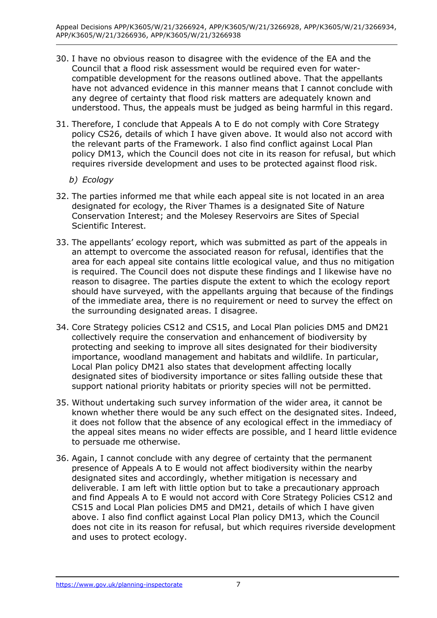- 30. I have no obvious reason to disagree with the evidence of the EA and the Council that a flood risk assessment would be required even for watercompatible development for the reasons outlined above. That the appellants have not advanced evidence in this manner means that I cannot conclude with any degree of certainty that flood risk matters are adequately known and understood. Thus, the appeals must be judged as being harmful in this regard.
- 31. Therefore, I conclude that Appeals A to E do not comply with Core Strategy policy CS26, details of which I have given above. It would also not accord with the relevant parts of the Framework. I also find conflict against Local Plan policy DM13, which the Council does not cite in its reason for refusal, but which requires riverside development and uses to be protected against flood risk.
	- *b) Ecology*
- 32. The parties informed me that while each appeal site is not located in an area designated for ecology, the River Thames is a designated Site of Nature Conservation Interest; and the Molesey Reservoirs are Sites of Special Scientific Interest.
- 33. The appellants' ecology report, which was submitted as part of the appeals in an attempt to overcome the associated reason for refusal, identifies that the area for each appeal site contains little ecological value, and thus no mitigation is required. The Council does not dispute these findings and I likewise have no reason to disagree. The parties dispute the extent to which the ecology report should have surveyed, with the appellants arguing that because of the findings of the immediate area, there is no requirement or need to survey the effect on the surrounding designated areas. I disagree.
- 34. Core Strategy policies CS12 and CS15, and Local Plan policies DM5 and DM21 collectively require the conservation and enhancement of biodiversity by protecting and seeking to improve all sites designated for their biodiversity importance, woodland management and habitats and wildlife. In particular, Local Plan policy DM21 also states that development affecting locally designated sites of biodiversity importance or sites falling outside these that support national priority habitats or priority species will not be permitted.
- 35. Without undertaking such survey information of the wider area, it cannot be known whether there would be any such effect on the designated sites. Indeed, it does not follow that the absence of any ecological effect in the immediacy of the appeal sites means no wider effects are possible, and I heard little evidence to persuade me otherwise.
- 36. Again, I cannot conclude with any degree of certainty that the permanent presence of Appeals A to E would not affect biodiversity within the nearby designated sites and accordingly, whether mitigation is necessary and deliverable. I am left with little option but to take a precautionary approach and find Appeals A to E would not accord with Core Strategy Policies CS12 and CS15 and Local Plan policies DM5 and DM21, details of which I have given above. I also find conflict against Local Plan policy DM13, which the Council does not cite in its reason for refusal, but which requires riverside development and uses to protect ecology.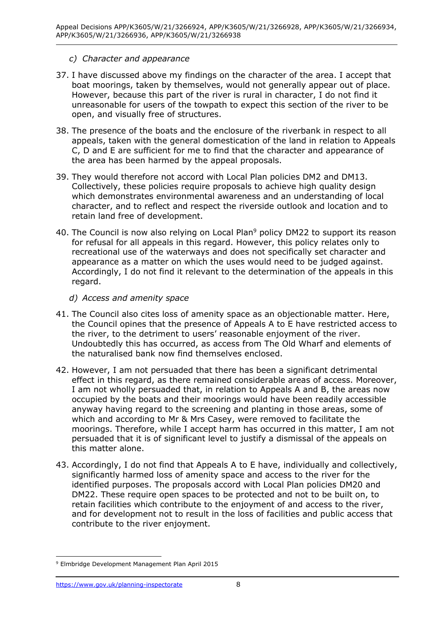# *c) Character and appearance*

- 37. I have discussed above my findings on the character of the area. I accept that boat moorings, taken by themselves, would not generally appear out of place. However, because this part of the river is rural in character, I do not find it unreasonable for users of the towpath to expect this section of the river to be open, and visually free of structures.
- 38. The presence of the boats and the enclosure of the riverbank in respect to all appeals, taken with the general domestication of the land in relation to Appeals C, D and E are sufficient for me to find that the character and appearance of the area has been harmed by the appeal proposals.
- 39. They would therefore not accord with Local Plan policies DM2 and DM13. Collectively, these policies require proposals to achieve high quality design which demonstrates environmental awareness and an understanding of local character, and to reflect and respect the riverside outlook and location and to retain land free of development.
- 40. The Council is now also relying on Local Plan<sup>9</sup> policy DM22 to support its reason for refusal for all appeals in this regard. However, this policy relates only to recreational use of the waterways and does not specifically set character and appearance as a matter on which the uses would need to be judged against. Accordingly, I do not find it relevant to the determination of the appeals in this regard.
	- *d) Access and amenity space*
- 41. The Council also cites loss of amenity space as an objectionable matter. Here, the Council opines that the presence of Appeals A to E have restricted access to the river, to the detriment to users' reasonable enjoyment of the river. Undoubtedly this has occurred, as access from The Old Wharf and elements of the naturalised bank now find themselves enclosed.
- 42. However, I am not persuaded that there has been a significant detrimental effect in this regard, as there remained considerable areas of access. Moreover, I am not wholly persuaded that, in relation to Appeals A and B, the areas now occupied by the boats and their moorings would have been readily accessible anyway having regard to the screening and planting in those areas, some of which and according to Mr & Mrs Casey, were removed to facilitate the moorings. Therefore, while I accept harm has occurred in this matter, I am not persuaded that it is of significant level to justify a dismissal of the appeals on this matter alone.
- 43. Accordingly, I do not find that Appeals A to E have, individually and collectively, significantly harmed loss of amenity space and access to the river for the identified purposes. The proposals accord with Local Plan policies DM20 and DM22. These require open spaces to be protected and not to be built on, to retain facilities which contribute to the enjoyment of and access to the river, and for development not to result in the loss of facilities and public access that contribute to the river enjoyment.

<sup>9</sup> Elmbridge Development Management Plan April 2015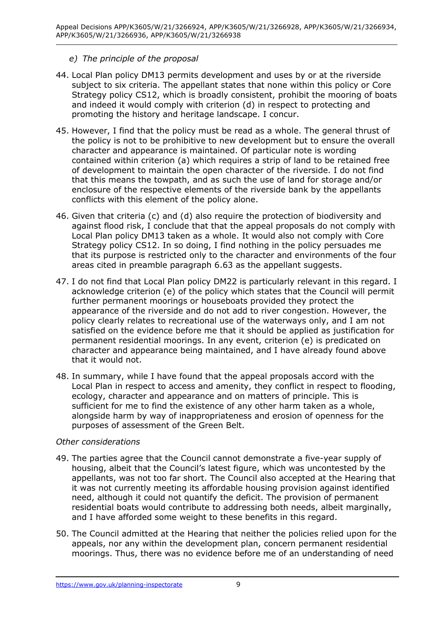# *e) The principle of the proposal*

- 44. Local Plan policy DM13 permits development and uses by or at the riverside subject to six criteria. The appellant states that none within this policy or Core Strategy policy CS12, which is broadly consistent, prohibit the mooring of boats and indeed it would comply with criterion (d) in respect to protecting and promoting the history and heritage landscape. I concur.
- 45. However, I find that the policy must be read as a whole. The general thrust of the policy is not to be prohibitive to new development but to ensure the overall character and appearance is maintained. Of particular note is wording contained within criterion (a) which requires a strip of land to be retained free of development to maintain the open character of the riverside. I do not find that this means the towpath, and as such the use of land for storage and/or enclosure of the respective elements of the riverside bank by the appellants conflicts with this element of the policy alone.
- 46. Given that criteria (c) and (d) also require the protection of biodiversity and against flood risk, I conclude that that the appeal proposals do not comply with Local Plan policy DM13 taken as a whole. It would also not comply with Core Strategy policy CS12. In so doing, I find nothing in the policy persuades me that its purpose is restricted only to the character and environments of the four areas cited in preamble paragraph 6.63 as the appellant suggests.
- 47. I do not find that Local Plan policy DM22 is particularly relevant in this regard. I acknowledge criterion (e) of the policy which states that the Council will permit further permanent moorings or houseboats provided they protect the appearance of the riverside and do not add to river congestion. However, the policy clearly relates to recreational use of the waterways only, and I am not satisfied on the evidence before me that it should be applied as justification for permanent residential moorings. In any event, criterion (e) is predicated on character and appearance being maintained, and I have already found above that it would not.
- 48. In summary, while I have found that the appeal proposals accord with the Local Plan in respect to access and amenity, they conflict in respect to flooding, ecology, character and appearance and on matters of principle. This is sufficient for me to find the existence of any other harm taken as a whole, alongside harm by way of inappropriateness and erosion of openness for the purposes of assessment of the Green Belt.

## *Other considerations*

- 49. The parties agree that the Council cannot demonstrate a five-year supply of housing, albeit that the Council's latest figure, which was uncontested by the appellants, was not too far short. The Council also accepted at the Hearing that it was not currently meeting its affordable housing provision against identified need, although it could not quantify the deficit. The provision of permanent residential boats would contribute to addressing both needs, albeit marginally, and I have afforded some weight to these benefits in this regard.
- 50. The Council admitted at the Hearing that neither the policies relied upon for the appeals, nor any within the development plan, concern permanent residential moorings. Thus, there was no evidence before me of an understanding of need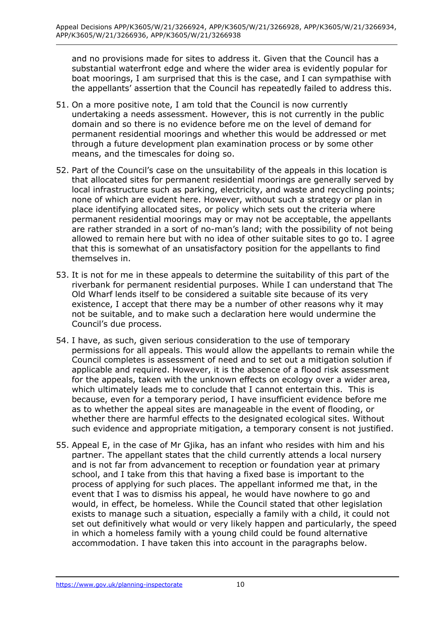and no provisions made for sites to address it. Given that the Council has a substantial waterfront edge and where the wider area is evidently popular for boat moorings, I am surprised that this is the case, and I can sympathise with the appellants' assertion that the Council has repeatedly failed to address this.

- 51. On a more positive note, I am told that the Council is now currently undertaking a needs assessment. However, this is not currently in the public domain and so there is no evidence before me on the level of demand for permanent residential moorings and whether this would be addressed or met through a future development plan examination process or by some other means, and the timescales for doing so.
- 52. Part of the Council's case on the unsuitability of the appeals in this location is that allocated sites for permanent residential moorings are generally served by local infrastructure such as parking, electricity, and waste and recycling points; none of which are evident here. However, without such a strategy or plan in place identifying allocated sites, or policy which sets out the criteria where permanent residential moorings may or may not be acceptable, the appellants are rather stranded in a sort of no-man's land; with the possibility of not being allowed to remain here but with no idea of other suitable sites to go to. I agree that this is somewhat of an unsatisfactory position for the appellants to find themselves in.
- 53. It is not for me in these appeals to determine the suitability of this part of the riverbank for permanent residential purposes. While I can understand that The Old Wharf lends itself to be considered a suitable site because of its very existence, I accept that there may be a number of other reasons why it may not be suitable, and to make such a declaration here would undermine the Council's due process.
- 54. I have, as such, given serious consideration to the use of temporary permissions for all appeals. This would allow the appellants to remain while the Council completes is assessment of need and to set out a mitigation solution if applicable and required. However, it is the absence of a flood risk assessment for the appeals, taken with the unknown effects on ecology over a wider area, which ultimately leads me to conclude that I cannot entertain this. This is because, even for a temporary period, I have insufficient evidence before me as to whether the appeal sites are manageable in the event of flooding, or whether there are harmful effects to the designated ecological sites. Without such evidence and appropriate mitigation, a temporary consent is not justified.
- 55. Appeal E, in the case of Mr Gjika, has an infant who resides with him and his partner. The appellant states that the child currently attends a local nursery and is not far from advancement to reception or foundation year at primary school, and I take from this that having a fixed base is important to the process of applying for such places. The appellant informed me that, in the event that I was to dismiss his appeal, he would have nowhere to go and would, in effect, be homeless. While the Council stated that other legislation exists to manage such a situation, especially a family with a child, it could not set out definitively what would or very likely happen and particularly, the speed in which a homeless family with a young child could be found alternative accommodation. I have taken this into account in the paragraphs below.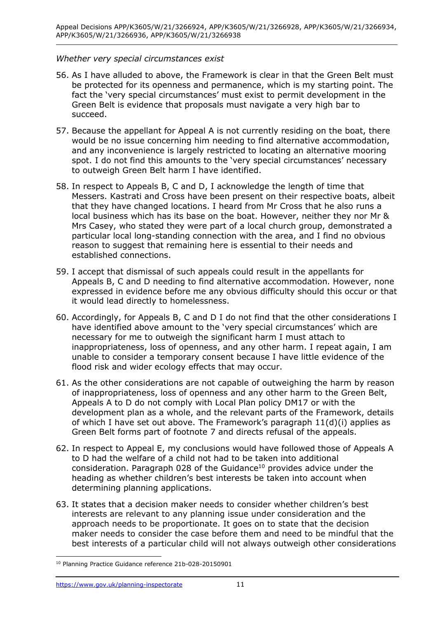## *Whether very special circumstances exist*

- 56. As I have alluded to above, the Framework is clear in that the Green Belt must be protected for its openness and permanence, which is my starting point. The fact the 'very special circumstances' must exist to permit development in the Green Belt is evidence that proposals must navigate a very high bar to succeed.
- 57. Because the appellant for Appeal A is not currently residing on the boat, there would be no issue concerning him needing to find alternative accommodation, and any inconvenience is largely restricted to locating an alternative mooring spot. I do not find this amounts to the 'very special circumstances' necessary to outweigh Green Belt harm I have identified.
- 58. In respect to Appeals B, C and D, I acknowledge the length of time that Messers. Kastrati and Cross have been present on their respective boats, albeit that they have changed locations. I heard from Mr Cross that he also runs a local business which has its base on the boat. However, neither they nor Mr & Mrs Casey, who stated they were part of a local church group, demonstrated a particular local long-standing connection with the area, and I find no obvious reason to suggest that remaining here is essential to their needs and established connections.
- 59. I accept that dismissal of such appeals could result in the appellants for Appeals B, C and D needing to find alternative accommodation. However, none expressed in evidence before me any obvious difficulty should this occur or that it would lead directly to homelessness.
- 60. Accordingly, for Appeals B, C and D I do not find that the other considerations I have identified above amount to the 'very special circumstances' which are necessary for me to outweigh the significant harm I must attach to inappropriateness, loss of openness, and any other harm. I repeat again, I am unable to consider a temporary consent because I have little evidence of the flood risk and wider ecology effects that may occur.
- 61. As the other considerations are not capable of outweighing the harm by reason of inappropriateness, loss of openness and any other harm to the Green Belt, Appeals A to D do not comply with Local Plan policy DM17 or with the development plan as a whole, and the relevant parts of the Framework, details of which I have set out above. The Framework's paragraph 11(d)(i) applies as Green Belt forms part of footnote 7 and directs refusal of the appeals.
- 62. In respect to Appeal E, my conclusions would have followed those of Appeals A to D had the welfare of a child not had to be taken into additional consideration. Paragraph 028 of the Guidance $10$  provides advice under the heading as whether children's best interests be taken into account when determining planning applications.
- 63. It states that a decision maker needs to consider whether children's best interests are relevant to any planning issue under consideration and the approach needs to be proportionate. It goes on to state that the decision maker needs to consider the case before them and need to be mindful that the best interests of a particular child will not always outweigh other considerations

<sup>10</sup> Planning Practice Guidance reference 21b-028-20150901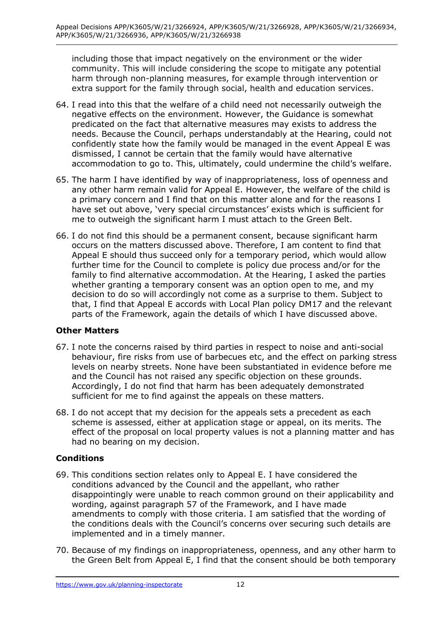including those that impact negatively on the environment or the wider community. This will include considering the scope to mitigate any potential harm through non-planning measures, for example through intervention or extra support for the family through social, health and education services.

- 64. I read into this that the welfare of a child need not necessarily outweigh the negative effects on the environment. However, the Guidance is somewhat predicated on the fact that alternative measures may exists to address the needs. Because the Council, perhaps understandably at the Hearing, could not confidently state how the family would be managed in the event Appeal E was dismissed, I cannot be certain that the family would have alternative accommodation to go to. This, ultimately, could undermine the child's welfare.
- 65. The harm I have identified by way of inappropriateness, loss of openness and any other harm remain valid for Appeal E. However, the welfare of the child is a primary concern and I find that on this matter alone and for the reasons I have set out above, 'very special circumstances' exists which is sufficient for me to outweigh the significant harm I must attach to the Green Belt.
- 66. I do not find this should be a permanent consent, because significant harm occurs on the matters discussed above. Therefore, I am content to find that Appeal E should thus succeed only for a temporary period, which would allow further time for the Council to complete is policy due process and/or for the family to find alternative accommodation. At the Hearing, I asked the parties whether granting a temporary consent was an option open to me, and my decision to do so will accordingly not come as a surprise to them. Subject to that, I find that Appeal E accords with Local Plan policy DM17 and the relevant parts of the Framework, again the details of which I have discussed above.

# **Other Matters**

- 67. I note the concerns raised by third parties in respect to noise and anti-social behaviour, fire risks from use of barbecues etc, and the effect on parking stress levels on nearby streets. None have been substantiated in evidence before me and the Council has not raised any specific objection on these grounds. Accordingly, I do not find that harm has been adequately demonstrated sufficient for me to find against the appeals on these matters.
- 68. I do not accept that my decision for the appeals sets a precedent as each scheme is assessed, either at application stage or appeal, on its merits. The effect of the proposal on local property values is not a planning matter and has had no bearing on my decision.

# **Conditions**

- 69. This conditions section relates only to Appeal E. I have considered the conditions advanced by the Council and the appellant, who rather disappointingly were unable to reach common ground on their applicability and wording, against paragraph 57 of the Framework, and I have made amendments to comply with those criteria. I am satisfied that the wording of the conditions deals with the Council's concerns over securing such details are implemented and in a timely manner.
- 70. Because of my findings on inappropriateness, openness, and any other harm to the Green Belt from Appeal E, I find that the consent should be both temporary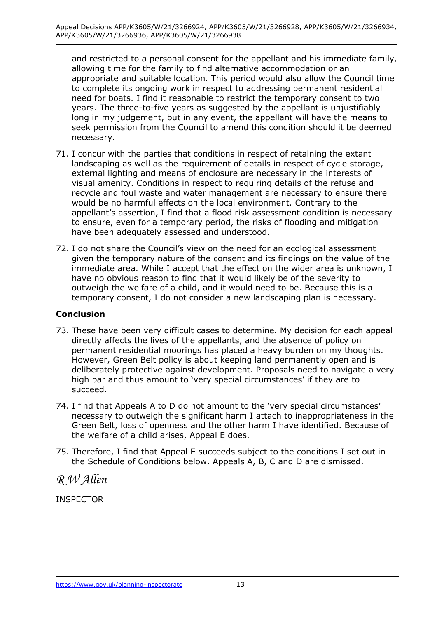and restricted to a personal consent for the appellant and his immediate family, allowing time for the family to find alternative accommodation or an appropriate and suitable location. This period would also allow the Council time to complete its ongoing work in respect to addressing permanent residential need for boats. I find it reasonable to restrict the temporary consent to two years. The three-to-five years as suggested by the appellant is unjustifiably long in my judgement, but in any event, the appellant will have the means to seek permission from the Council to amend this condition should it be deemed necessary.

- 71. I concur with the parties that conditions in respect of retaining the extant landscaping as well as the requirement of details in respect of cycle storage, external lighting and means of enclosure are necessary in the interests of visual amenity. Conditions in respect to requiring details of the refuse and recycle and foul waste and water management are necessary to ensure there would be no harmful effects on the local environment. Contrary to the appellant's assertion, I find that a flood risk assessment condition is necessary to ensure, even for a temporary period, the risks of flooding and mitigation have been adequately assessed and understood.
- 72. I do not share the Council's view on the need for an ecological assessment given the temporary nature of the consent and its findings on the value of the immediate area. While I accept that the effect on the wider area is unknown, I have no obvious reason to find that it would likely be of the severity to outweigh the welfare of a child, and it would need to be. Because this is a temporary consent, I do not consider a new landscaping plan is necessary.

# **Conclusion**

- 73. These have been very difficult cases to determine. My decision for each appeal directly affects the lives of the appellants, and the absence of policy on permanent residential moorings has placed a heavy burden on my thoughts. However, Green Belt policy is about keeping land permanently open and is deliberately protective against development. Proposals need to navigate a very high bar and thus amount to 'very special circumstances' if they are to succeed.
- 74. I find that Appeals A to D do not amount to the 'very special circumstances' necessary to outweigh the significant harm I attach to inappropriateness in the Green Belt, loss of openness and the other harm I have identified. Because of the welfare of a child arises, Appeal E does.
- 75. Therefore, I find that Appeal E succeeds subject to the conditions I set out in the Schedule of Conditions below. Appeals A, B, C and D are dismissed.

*R W Allen*

INSPECTOR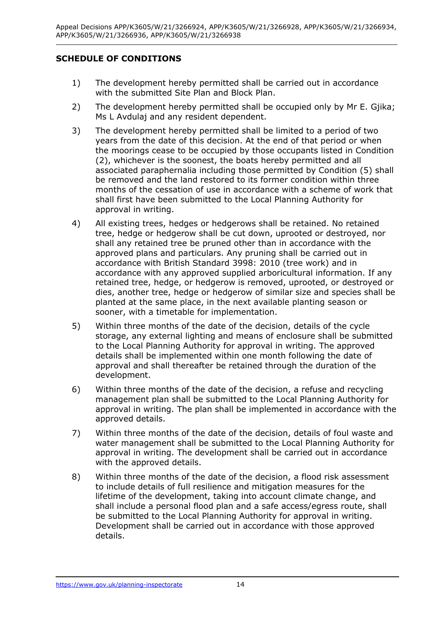# **SCHEDULE OF CONDITIONS**

- 1) The development hereby permitted shall be carried out in accordance with the submitted Site Plan and Block Plan.
- 2) The development hereby permitted shall be occupied only by Mr E. Giika; Ms L Avdulaj and any resident dependent.
- 3) The development hereby permitted shall be limited to a period of two years from the date of this decision. At the end of that period or when the moorings cease to be occupied by those occupants listed in Condition (2), whichever is the soonest, the boats hereby permitted and all associated paraphernalia including those permitted by Condition (5) shall be removed and the land restored to its former condition within three months of the cessation of use in accordance with a scheme of work that shall first have been submitted to the Local Planning Authority for approval in writing.
- 4) All existing trees, hedges or hedgerows shall be retained. No retained tree, hedge or hedgerow shall be cut down, uprooted or destroyed, nor shall any retained tree be pruned other than in accordance with the approved plans and particulars. Any pruning shall be carried out in accordance with British Standard 3998: 2010 (tree work) and in accordance with any approved supplied arboricultural information. If any retained tree, hedge, or hedgerow is removed, uprooted, or destroyed or dies, another tree, hedge or hedgerow of similar size and species shall be planted at the same place, in the next available planting season or sooner, with a timetable for implementation.
- 5) Within three months of the date of the decision, details of the cycle storage, any external lighting and means of enclosure shall be submitted to the Local Planning Authority for approval in writing. The approved details shall be implemented within one month following the date of approval and shall thereafter be retained through the duration of the development.
- 6) Within three months of the date of the decision, a refuse and recycling management plan shall be submitted to the Local Planning Authority for approval in writing. The plan shall be implemented in accordance with the approved details.
- 7) Within three months of the date of the decision, details of foul waste and water management shall be submitted to the Local Planning Authority for approval in writing. The development shall be carried out in accordance with the approved details.
- 8) Within three months of the date of the decision, a flood risk assessment to include details of full resilience and mitigation measures for the lifetime of the development, taking into account climate change, and shall include a personal flood plan and a safe access/egress route, shall be submitted to the Local Planning Authority for approval in writing. Development shall be carried out in accordance with those approved details.